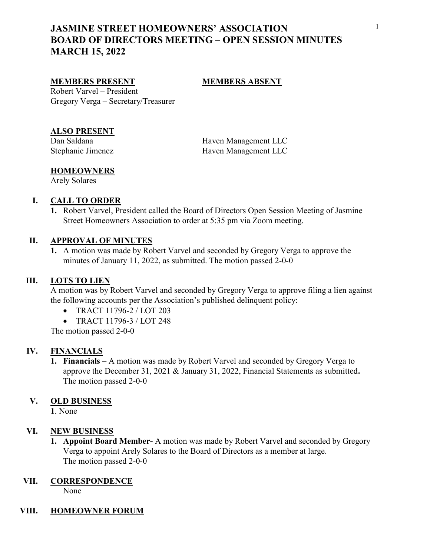# JASMINE STREET HOMEOWNERS' ASSOCIATION BOARD OF DIRECTORS MEETING – OPEN SESSION MINUTES MARCH 15, 2022

### MEMBERS PRESENT MEMBERS ABSENT

Robert Varvel – President Gregory Verga – Secretary/Treasurer

## ALSO PRESENT

Dan Saldana **Haven Management LLC** Stephanie Jimenez Haven Management LLC

### **HOMEOWNERS**

Arely Solares

### I. CALL TO ORDER

1. Robert Varvel, President called the Board of Directors Open Session Meeting of Jasmine Street Homeowners Association to order at 5:35 pm via Zoom meeting.

#### II. APPROVAL OF MINUTES

1. A motion was made by Robert Varvel and seconded by Gregory Verga to approve the minutes of January 11, 2022, as submitted. The motion passed 2-0-0

#### III. LOTS TO LIEN

A motion was by Robert Varvel and seconded by Gregory Verga to approve filing a lien against the following accounts per the Association's published delinquent policy:

- TRACT 11796-2 / LOT 203
- TRACT 11796-3 / LOT 248

The motion passed 2-0-0

#### IV. FINANCIALS

1. Financials – A motion was made by Robert Varvel and seconded by Gregory Verga to approve the December 31, 2021 & January 31, 2022, Financial Statements as submitted. The motion passed 2-0-0

#### V. OLD BUSINESS

1. None

### VI. NEW BUSINESS

1. Appoint Board Member- A motion was made by Robert Varvel and seconded by Gregory Verga to appoint Arely Solares to the Board of Directors as a member at large. The motion passed 2-0-0

#### VII. CORRESPONDENCE

None

# VIII. HOMEOWNER FORUM